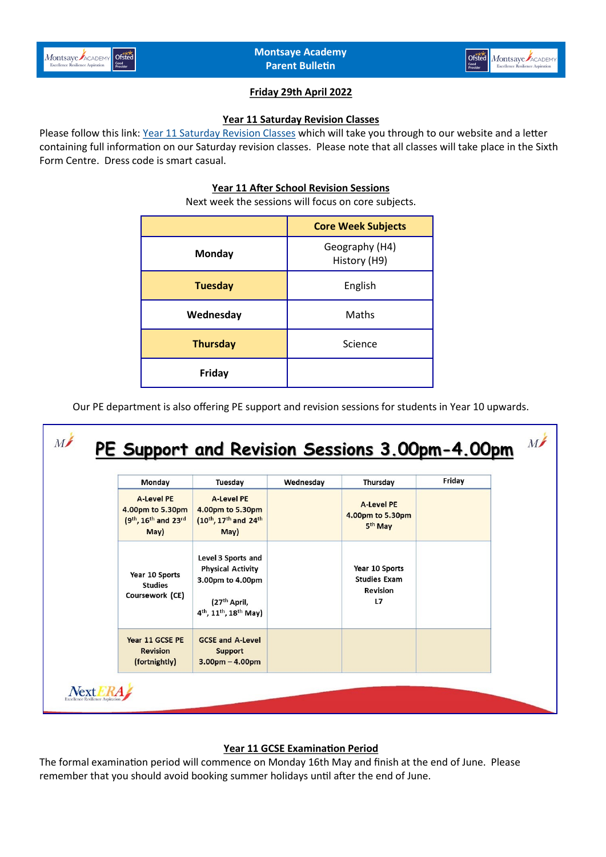



# **Friday 29th April 2022**

### **Year 11 Saturday Revision Classes**

Please follow this link: [Year 11 Saturday Revision Classes](https://www.montsaye.northants.sch.uk/assets/Documents/Newsletters/Year-11-Saturday-Revision-Sessions.pdf) which will take you through to our website and a letter containing full information on our Saturday revision classes. Please note that all classes will take place in the Sixth Form Centre. Dress code is smart casual.

### **Year 11 After School Revision Sessions**

Next week the sessions will focus on core subjects.

|                 | <b>Core Week Subjects</b>      |
|-----------------|--------------------------------|
| <b>Monday</b>   | Geography (H4)<br>History (H9) |
| <b>Tuesday</b>  | English                        |
| Wednesday       | Maths                          |
| <b>Thursday</b> | Science                        |
| Friday          |                                |

Our PE department is also offering PE support and revision sessions for students in Year 10 upwards.



# **Year 11 GCSE Examination Period**

The formal examination period will commence on Monday 16th May and finish at the end of June. Please remember that you should avoid booking summer holidays until after the end of June.